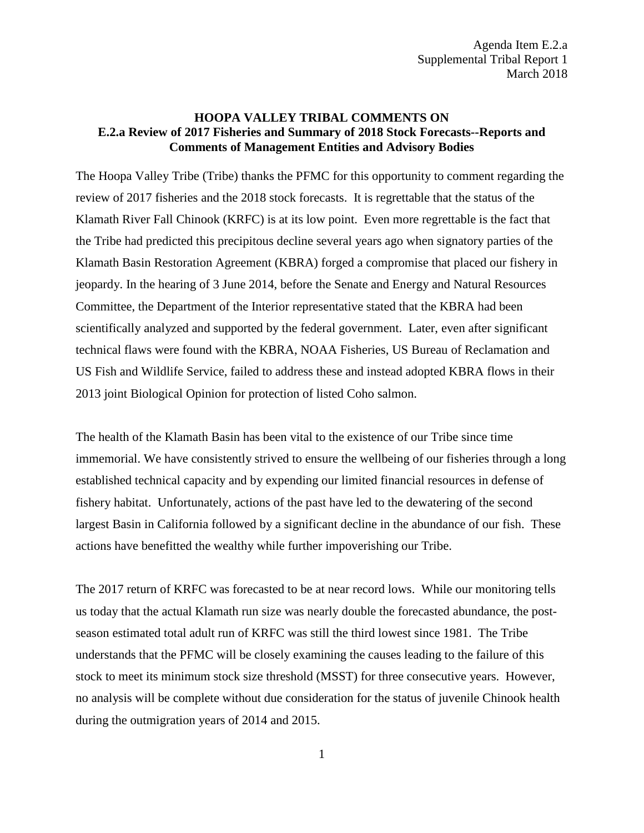## **HOOPA VALLEY TRIBAL COMMENTS ON E.2.a Review of 2017 Fisheries and Summary of 2018 Stock Forecasts--Reports and Comments of Management Entities and Advisory Bodies**

The Hoopa Valley Tribe (Tribe) thanks the PFMC for this opportunity to comment regarding the review of 2017 fisheries and the 2018 stock forecasts. It is regrettable that the status of the Klamath River Fall Chinook (KRFC) is at its low point. Even more regrettable is the fact that the Tribe had predicted this precipitous decline several years ago when signatory parties of the Klamath Basin Restoration Agreement (KBRA) forged a compromise that placed our fishery in jeopardy. In the hearing of 3 June 2014, before the Senate and Energy and Natural Resources Committee, the Department of the Interior representative stated that the KBRA had been scientifically analyzed and supported by the federal government. Later, even after significant technical flaws were found with the KBRA, NOAA Fisheries, US Bureau of Reclamation and US Fish and Wildlife Service, failed to address these and instead adopted KBRA flows in their 2013 joint Biological Opinion for protection of listed Coho salmon.

The health of the Klamath Basin has been vital to the existence of our Tribe since time immemorial. We have consistently strived to ensure the wellbeing of our fisheries through a long established technical capacity and by expending our limited financial resources in defense of fishery habitat. Unfortunately, actions of the past have led to the dewatering of the second largest Basin in California followed by a significant decline in the abundance of our fish. These actions have benefitted the wealthy while further impoverishing our Tribe.

The 2017 return of KRFC was forecasted to be at near record lows. While our monitoring tells us today that the actual Klamath run size was nearly double the forecasted abundance, the postseason estimated total adult run of KRFC was still the third lowest since 1981. The Tribe understands that the PFMC will be closely examining the causes leading to the failure of this stock to meet its minimum stock size threshold (MSST) for three consecutive years. However, no analysis will be complete without due consideration for the status of juvenile Chinook health during the outmigration years of 2014 and 2015.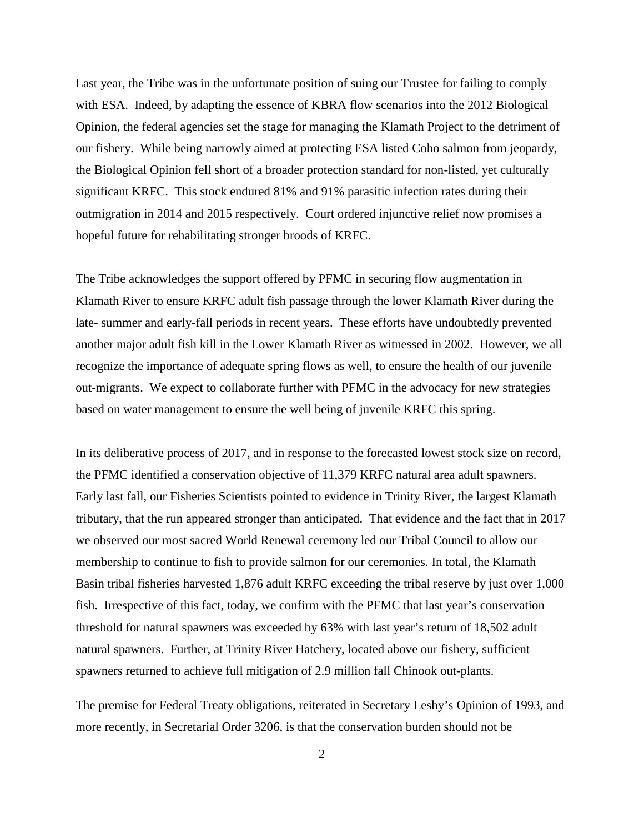Last year, the Tribe was in the unfortunate position of suing our Trustee for failing to comply with ESA. Indeed, by adapting the essence of KBRA flow scenarios into the 2012 Biological Opinion, the federal agencies set the stage for managing the Klamath Project to the detriment of our fishery. While being narrowly aimed at protecting ESA listed Coho salmon from jeopardy, the Biological Opinion fell short of a broader protection standard for non-listed, yet culturally significant KRFC. This stock endured 81% and 91% parasitic infection rates during their outmigration in 2014 and 2015 respectively. Court ordered injunctive relief now promises a hopeful future for rehabilitating stronger broods of KRFC.

The Tribe acknowledges the support offered by PFMC in securing flow augmentation in Klamath River to ensure KRFC adult fish passage through the lower Klamath River during the late- summer and early-fall periods in recent years. These efforts have undoubtedly prevented another major adult fish kill in the Lower Klamath River as witnessed in 2002. However, we all recognize the importance of adequate spring flows as well, to ensure the health of our juvenile out-migrants. We expect to collaborate further with PFMC in the advocacy for new strategies based on water management to ensure the well being of juvenile KRFC this spring.

In its deliberative process of 2017, and in response to the forecasted lowest stock size on record, the PFMC identified a conservation objective of 11,379 KRFC natural area adult spawners. Early last fall, our Fisheries Scientists pointed to evidence in Trinity River, the largest Klamath tributary, that the run appeared stronger than anticipated. That evidence and the fact that in 2017 we observed our most sacred World Renewal ceremony led our Tribal Council to allow our membership to continue to fish to provide salmon for our ceremonies. In total, the Klamath Basin tribal fisheries harvested 1,876 adult KRFC exceeding the tribal reserve by just over 1,000 fish. Irrespective of this fact, today, we confirm with the PFMC that last year's conservation threshold for natural spawners was exceeded by 63% with last year's return of 18,502 adult natural spawners. Further, at Trinity River Hatchery, located above our fishery, sufficient spawners returned to achieve full mitigation of 2.9 million fall Chinook out-plants.

The premise for Federal Treaty obligations, reiterated in Secretary Leshy's Opinion of 1993, and more recently, in Secretarial Order 3206, is that the conservation burden should not be